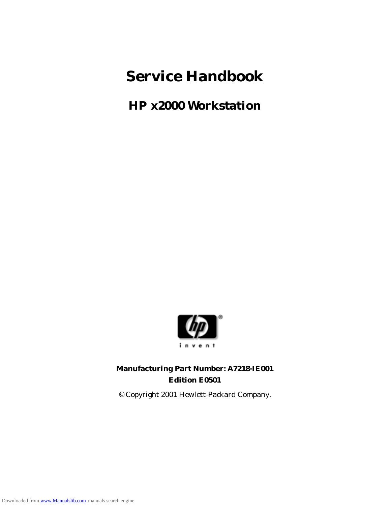## **Service Handbook**

**HP x2000 Workstation**



#### **Manufacturing Part Number: A7218-IE001 Edition E0501**

© Copyright 2001 Hewlett-Packard Company.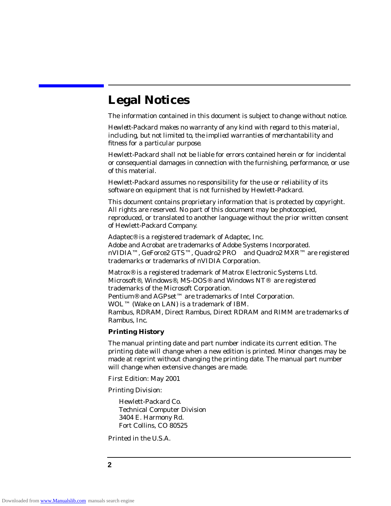## **Legal Notices**

The information contained in this document is subject to change without notice.

*Hewlett-Packard makes no warranty of any kind with regard to this material, including, but not limited to, the implied warranties of merchantability and fitness for a particular purpose.*

Hewlett-Packard shall not be liable for errors contained herein or for incidental or consequential damages in connection with the furnishing, performance, or use of this material.

Hewlett-Packard assumes no responsibility for the use or reliability of its software on equipment that is not furnished by Hewlett-Packard.

This document contains proprietary information that is protected by copyright. All rights are reserved. No part of this document may be photocopied, reproduced, or translated to another language without the prior written consent of Hewlett-Packard Company.

Adaptec® is a registered trademark of Adaptec, Inc. Adobe and Acrobat are trademarks of Adobe Systems Incorporated. nVIDIA™, GeForce2 GTS™, Quadro2 PRO™ and Quadro2 MXR™ are registered trademarks or trademarks of nVIDIA Corporation.

Matrox® is a registered trademark of Matrox Electronic Systems Ltd. Microsoft®, Windows®, MS-DOS® and Windows NT® are registered trademarks of the Microsoft Corporation. Pentium<sup>®</sup> and AGPset<sup>™</sup> are trademarks of Intel Corporation. WOL™ (Wake on LAN) is a trademark of IBM. Rambus, RDRAM, Direct Rambus, Direct RDRAM and RIMM are trademarks of Rambus, Inc.

#### **Printing History**

The manual printing date and part number indicate its current edition. The printing date will change when a new edition is printed. Minor changes may be made at reprint without changing the printing date. The manual part number will change when extensive changes are made.

First Edition: May 2001

Printing Division:

Hewlett-Packard Co. Technical Computer Division 3404 E. Harmony Rd. Fort Collins, CO 80525

Printed in the U.S.A.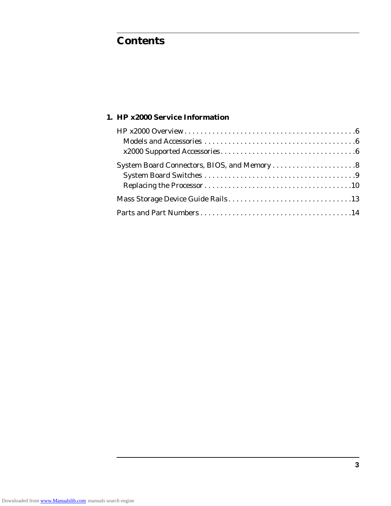## **Contents**

#### **1. HP x2000 Service Information**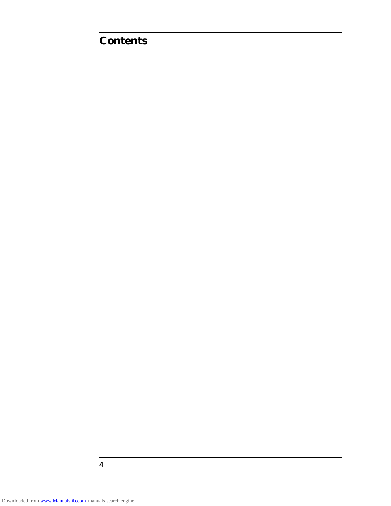## **Contents**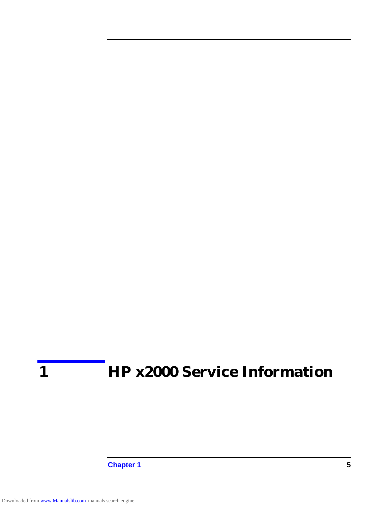# **1 HP x2000 Service Information**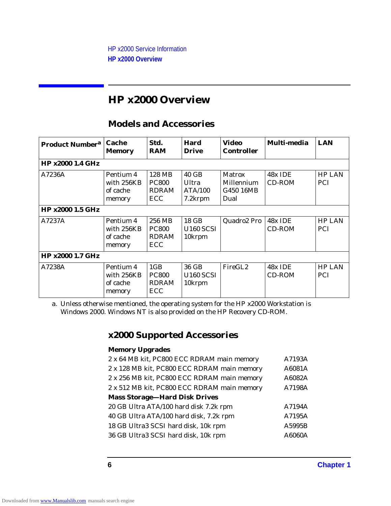## **HP x2000 Overview**

#### **Models and Accessories**

| <b>Product Number<sup>a</sup></b> | Cache<br>Memory                               | Std.<br><b>RAM</b>                                            | <b>Hard</b><br><b>Drive</b>                     | Video<br><b>Controller</b>                | Multi-media              | <b>LAN</b>                  |
|-----------------------------------|-----------------------------------------------|---------------------------------------------------------------|-------------------------------------------------|-------------------------------------------|--------------------------|-----------------------------|
| <b>HP x2000 1.4 GHz</b>           |                                               |                                                               |                                                 |                                           |                          |                             |
| A7236A                            | Pentium 4<br>with 256KB<br>of cache<br>memory | 128 MB<br><b>PC800</b><br><b>RDRAM</b><br>ECC                 | 40 GB<br>Ultra<br><b>ATA/100</b><br>7.2krpm     | Matrox<br>Millennium<br>G450 16MB<br>Dual | 48x IDE<br>CD-ROM        | <b>HP LAN</b><br><b>PCI</b> |
| <b>HP x2000 1.5 GHz</b>           |                                               |                                                               |                                                 |                                           |                          |                             |
| A7237A                            | Pentium 4<br>with 256KB<br>of cache<br>memory | 256 MB<br><b>PC800</b><br><b>RDRAM</b><br>ECC                 | 18 GB<br><b>U160 SCSI</b><br>10krpm             | Quadro2 Pro                               | 48x IDE<br>CD-ROM        | <b>HP LAN</b><br><b>PCI</b> |
| <b>HP x2000 1.7 GHz</b>           |                                               |                                                               |                                                 |                                           |                          |                             |
| A7238A                            | Pentium 4<br>with 256KB<br>of cache<br>memory | 1 <sub>GB</sub><br><b>PC800</b><br><b>RDRAM</b><br><b>ECC</b> | 36 GB<br><b>U160 SCSI</b><br>10 <sub>krpm</sub> | FireGL <sub>2</sub>                       | 48x IDE<br><b>CD-ROM</b> | <b>HP LAN</b><br><b>PCI</b> |

a. Unless otherwise mentioned, the operating system for the HP x2000 Workstation is Windows 2000. Windows NT is also provided on the HP Recovery CD-ROM.

### **x2000 Supported Accessories**

#### **Memory Upgrades**

| 2 x 64 MB kit, PC800 ECC RDRAM main memory  | A7193A |
|---------------------------------------------|--------|
| 2 x 128 MB kit, PC800 ECC RDRAM main memory | A6081A |
| 2 x 256 MB kit, PC800 ECC RDRAM main memory | A6082A |
| 2 x 512 MB kit, PC800 ECC RDRAM main memory | A7198A |
| <b>Mass Storage-Hard Disk Drives</b>        |        |
| 20 GB Ultra ATA/100 hard disk 7.2k rpm      | A7194A |
| 40 GB Ultra ATA/100 hard disk, 7.2k rpm     | A7195A |
| 18 GB Ultra3 SCSI hard disk, 10k rpm        | A5995B |
| 36 GB Ultra3 SCSI hard disk, 10k rpm        | A6060A |
|                                             |        |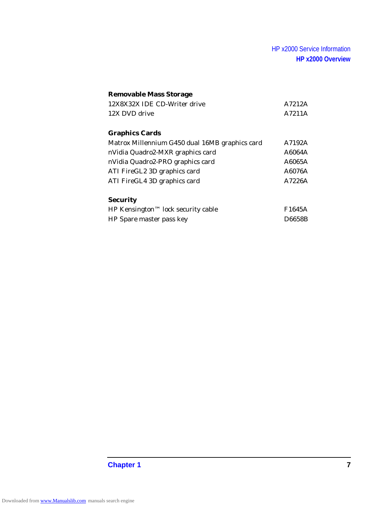#### HP x2000 Service Information **HP x2000 Overview**

#### **Removable Mass Storage**

| 12X8X32X IDE CD-Writer drive | A7212A |
|------------------------------|--------|
| 12X DVD drive                | A7211A |
|                              |        |
| <b>Graphics Cards</b>        |        |

| Matrox Millennium G450 dual 16MB graphics card | A7192A |
|------------------------------------------------|--------|
| nVidia Quadro2-MXR graphics card               | A6064A |
| nVidia Quadro2-PRO graphics card               | A6065A |
| ATI FireGL2 3D graphics card                   | A6076A |
| ATI FireGL4 3D graphics card                   | A7226A |

#### **Security**

| HP Kensington™ lock security cable | F1645A        |
|------------------------------------|---------------|
| HP Spare master pass key           | <b>D6658B</b> |

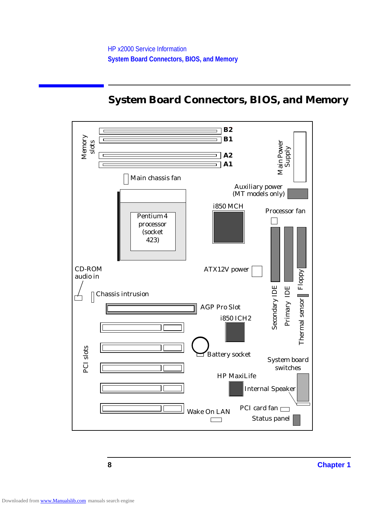## **System Board Connectors, BIOS, and Memory**

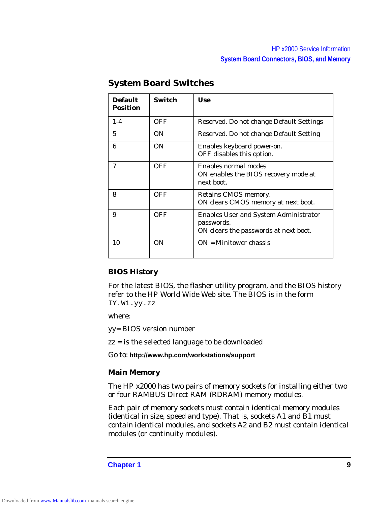| <b>Default</b><br><b>Position</b> | <b>Switch</b> | <b>Use</b>                                                                                          |
|-----------------------------------|---------------|-----------------------------------------------------------------------------------------------------|
| $1 - 4$                           | <b>OFF</b>    | Reserved. Do not change Default Settings                                                            |
| 5                                 | 0N            | Reserved. Do not change Default Setting                                                             |
| 6                                 | <b>ON</b>     | Enables keyboard power-on.<br>OFF disables this option.                                             |
| 7                                 | <b>OFF</b>    | Enables normal modes.<br>ON enables the BIOS recovery mode at<br>next boot.                         |
| 8                                 | <b>OFF</b>    | Retains CMOS memory.<br>ON clears CMOS memory at next boot.                                         |
| 9                                 | <b>OFF</b>    | <b>Enables User and System Administrator</b><br>passwords.<br>ON clears the passwords at next boot. |
| 10                                | <b>ON</b>     | $ON =$ Minitower chassis                                                                            |

#### **System Board Switches**

#### **BIOS History**

For the latest BIOS, the flasher utility program, and the BIOS history refer to the HP World Wide Web site. The BIOS is in the form IY.W1.yy.zz

where:

yy= BIOS version number

zz = is the selected language to be downloaded

Go to: **http://www.hp.com/workstations/support**

#### **Main Memory**

The HP x2000 has two pairs of memory sockets for installing either two or four RAMBUS Direct RAM (RDRAM) memory modules.

Each pair of memory sockets must contain identical memory modules (identical in size, speed and type). That is, sockets A1 and B1 must contain identical modules, and sockets A2 and B2 must contain identical modules (or continuity modules).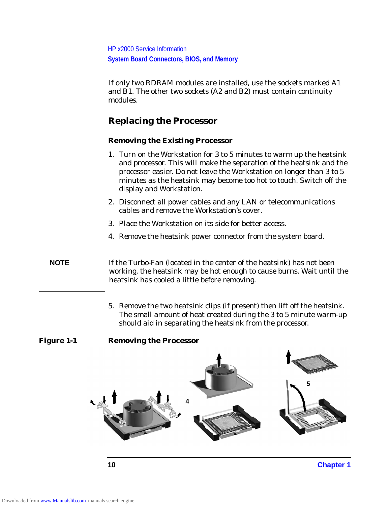HP x2000 Service Information **System Board Connectors, BIOS, and Memory**

If only two RDRAM modules are installed, use the sockets marked A1 and B1. The other two sockets (A2 and B2) must contain continuity modules.

#### **Replacing the Processor**

#### **Removing the Existing Processor**

- 1. Turn on the Workstation for 3 to 5 minutes to warm up the heatsink and processor. This will make the separation of the heatsink and the processor easier. Do not leave the Workstation on longer than 3 to 5 minutes as the heatsink may become too hot to touch. Switch off the display and Workstation.
- 2. Disconnect all power cables and any LAN or telecommunications cables and remove the Workstation's cover.
- 3. Place the Workstation on its side for better access.
- 4. Remove the heatsink power connector from the system board.

**NOTE** If the Turbo-Fan (located in the center of the heatsink) has not been working, the heatsink may be hot enough to cause burns. Wait until the heatsink has cooled a little before removing.

> 5. Remove the two heatsink clips (if present) then lift off the heatsink. The small amount of heat created during the 3 to 5 minute warm-up should aid in separating the heatsink from the processor.

#### **Figure 1-1 Removing the Processor**

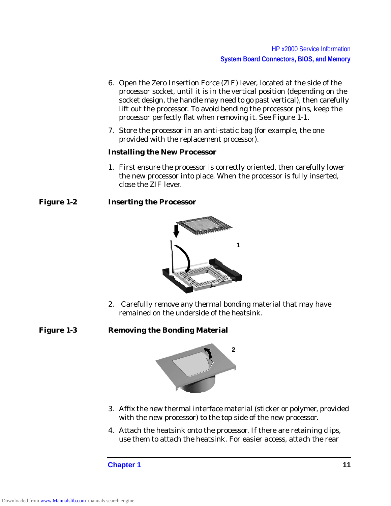- 6. Open the Zero Insertion Force (ZIF) lever, located at the side of the processor socket, until it is in the vertical position (depending on the socket design, the handle may need to go past vertical), then carefully lift out the processor. To avoid bending the processor pins, keep the processor perfectly flat when removing it. See Figure 1-1.
- 7. Store the processor in an anti-static bag (for example, the one provided with the replacement processor).

#### **Installing the New Processor**

1. First ensure the processor is correctly oriented, then carefully lower the new processor into place. When the processor is fully inserted, close the ZIF lever.

#### **Figure 1-2 Inserting the Processor**



2. Carefully remove any thermal bonding material that may have remained on the underside of the heatsink.

#### **Figure 1-3 Removing the Bonding Material**



- 3. Affix the new thermal interface material (sticker or polymer, provided with the new processor) to the top side of the new processor.
- 4. Attach the heatsink onto the processor. If there are retaining clips, use them to attach the heatsink. For easier access, attach the rear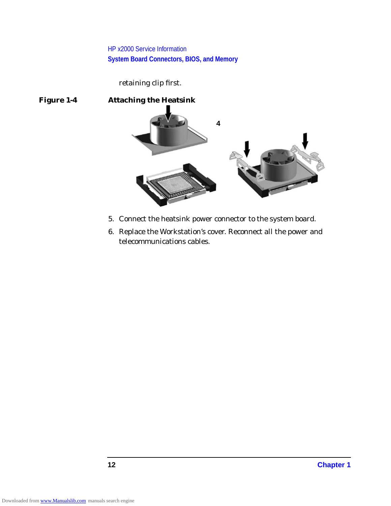HP x2000 Service Information **System Board Connectors, BIOS, and Memory**

retaining clip first.



- 5. Connect the heatsink power connector to the system board.
- 6. Replace the Workstation's cover. Reconnect all the power and telecommunications cables.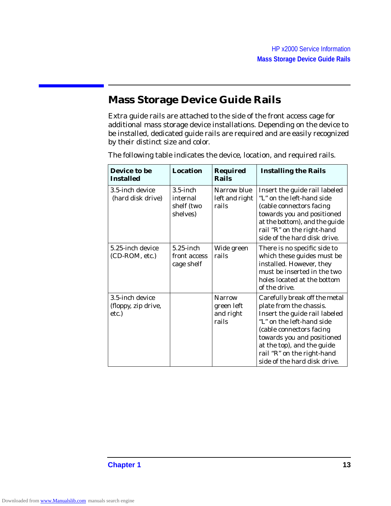### **Mass Storage Device Guide Rails**

Extra guide rails are attached to the side of the front access cage for additional mass storage device installations. Depending on the device to be installed, dedicated guide rails are required and are easily recognized by their distinct size and color.

| Device to be<br><b>Installed</b>                | <b>Location</b>                                   | <b>Required</b><br>Rails                          | <b>Installing the Rails</b>                                                                                                                                                                                                                                                  |
|-------------------------------------------------|---------------------------------------------------|---------------------------------------------------|------------------------------------------------------------------------------------------------------------------------------------------------------------------------------------------------------------------------------------------------------------------------------|
| 3.5-inch device<br>(hard disk drive)            | $3.5$ -inch<br>internal<br>shelf (two<br>shelves) | Narrow blue<br>left and right<br>rails            | Insert the guide rail labeled<br>"L" on the left-hand side<br>(cable connectors facing<br>towards you and positioned<br>at the bottom), and the guide<br>rail "R" on the right-hand<br>side of the hard disk drive.                                                          |
| 5.25-inch device<br>(CD-ROM, etc.)              | $5.25$ -inch<br>front access<br>cage shelf        | Wide green<br>rails                               | There is no specific side to<br>which these guides must be<br>installed. However, they<br>must be inserted in the two<br>holes located at the bottom<br>of the drive.                                                                                                        |
| 3.5-inch device<br>(floppy, zip drive,<br>etc.) |                                                   | <b>Narrow</b><br>green left<br>and right<br>rails | Carefully break off the metal<br>plate from the chassis.<br>Insert the guide rail labeled<br>"L" on the left-hand side<br>(cable connectors facing<br>towards you and positioned<br>at the top), and the guide<br>rail "R" on the right-hand<br>side of the hard disk drive. |

The following table indicates the device, location, and required rails.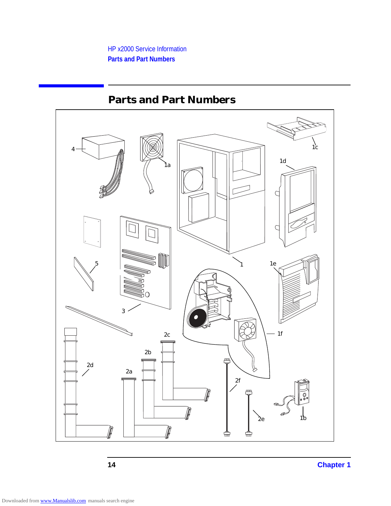

## **Parts and Part Numbers**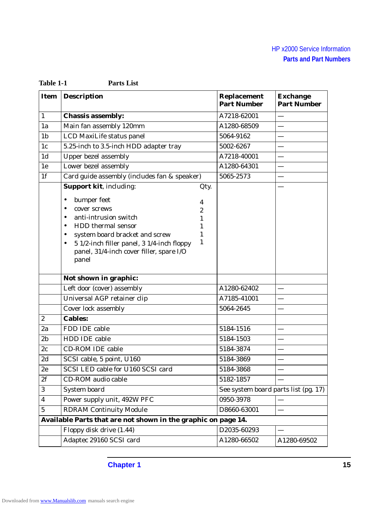| <b>Item</b>      | <b>Description</b>                                                                                                                                                                                                                                                                  | <b>Replacement</b><br><b>Part Number</b> | <b>Exchange</b><br><b>Part Number</b> |
|------------------|-------------------------------------------------------------------------------------------------------------------------------------------------------------------------------------------------------------------------------------------------------------------------------------|------------------------------------------|---------------------------------------|
| $\mathbf{1}$     | <b>Chassis assembly:</b>                                                                                                                                                                                                                                                            | A7218-62001                              |                                       |
| 1a               | Main fan assembly 120mm                                                                                                                                                                                                                                                             | A1280-68509                              |                                       |
| 1 <sub>b</sub>   | LCD MaxiLife status panel                                                                                                                                                                                                                                                           | 5064-9162                                |                                       |
| 1 <sub>c</sub>   | 5.25-inch to 3.5-inch HDD adapter tray                                                                                                                                                                                                                                              | 5002-6267                                |                                       |
| 1 <sub>d</sub>   | <b>Upper bezel assembly</b>                                                                                                                                                                                                                                                         | A7218-40001                              |                                       |
| 1e               | Lower bezel assembly                                                                                                                                                                                                                                                                | A1280-64301                              |                                       |
| 1 <sub>f</sub>   | Card guide assembly (includes fan & speaker)                                                                                                                                                                                                                                        | 5065-2573                                |                                       |
|                  | <b>Support kit, including:</b><br>Qty.                                                                                                                                                                                                                                              |                                          |                                       |
|                  | bumper feet<br>$\bullet$<br>4<br>cover screws<br>٠<br>2<br>anti-intrusion switch<br>٠<br>1<br>HDD thermal sensor<br>٠<br>1<br>system board bracket and screw<br>1<br>٠<br>1<br>5 1/2-inch filler panel, 3 1/4-inch floppy<br>٠<br>panel, 31/4-inch cover filler, spare I/O<br>panel |                                          |                                       |
|                  | Not shown in graphic:                                                                                                                                                                                                                                                               |                                          |                                       |
|                  | Left door (cover) assembly                                                                                                                                                                                                                                                          | A1280-62402                              |                                       |
|                  | Universal AGP retainer clip                                                                                                                                                                                                                                                         | A7185-41001                              |                                       |
|                  | <b>Cover lock assembly</b>                                                                                                                                                                                                                                                          | 5064-2645                                |                                       |
| $\boldsymbol{2}$ | <b>Cables:</b>                                                                                                                                                                                                                                                                      |                                          |                                       |
| 2a               | FDD IDE cable                                                                                                                                                                                                                                                                       | 5184-1516                                |                                       |
| 2 <sub>b</sub>   | <b>HDD IDE cable</b>                                                                                                                                                                                                                                                                | 5184-1503                                |                                       |
| 2c               | <b>CD-ROM IDE cable</b>                                                                                                                                                                                                                                                             | 5184-3874                                |                                       |
| 2d               | SCSI cable, 5 point, U160                                                                                                                                                                                                                                                           | 5184-3869                                |                                       |
| 2e               | SCSI LED cable for U160 SCSI card                                                                                                                                                                                                                                                   | 5184-3868                                |                                       |
| 2f               | CD-ROM audio cable                                                                                                                                                                                                                                                                  | 5182-1857                                |                                       |
| 3                | <b>System board</b>                                                                                                                                                                                                                                                                 | See system board parts list (pg. 17)     |                                       |
| 4                | Power supply unit, 492W PFC                                                                                                                                                                                                                                                         | 0950-3978                                |                                       |
| $\overline{5}$   | <b>RDRAM Continuity Module</b>                                                                                                                                                                                                                                                      | D8660-63001                              |                                       |
|                  | Available Parts that are not shown in the graphic on page 14.                                                                                                                                                                                                                       |                                          |                                       |
|                  | Floppy disk drive (1.44)                                                                                                                                                                                                                                                            | D2035-60293                              |                                       |
|                  | Adaptec 29160 SCSI card                                                                                                                                                                                                                                                             | A1280-66502                              | A1280-69502                           |

**Table 1-1 Parts List**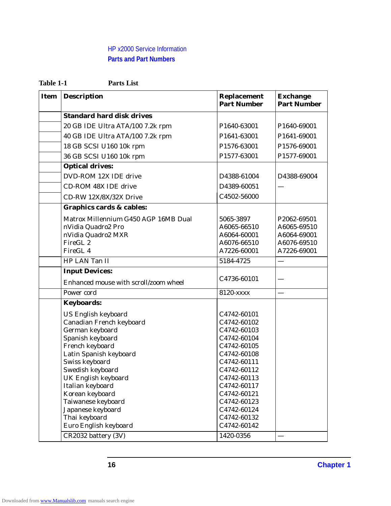| Table 1-1 | <b>Parts List</b> |
|-----------|-------------------|
|           |                   |

| <b>Item</b> | <b>Description</b>                    | <b>Replacement</b><br><b>Part Number</b> | <b>Exchange</b><br><b>Part Number</b> |
|-------------|---------------------------------------|------------------------------------------|---------------------------------------|
|             | <b>Standard hard disk drives</b>      |                                          |                                       |
|             | 20 GB IDE Ultra ATA/100 7.2k rpm      | P1640-63001                              | P1640-69001                           |
|             | 40 GB IDE Ultra ATA/100 7.2k rpm      | P1641-63001                              | P1641-69001                           |
|             | 18 GB SCSI U160 10k rpm               | P1576-63001                              | P1576-69001                           |
|             | 36 GB SCSI U160 10k rpm               | P1577-63001                              | P1577-69001                           |
|             | <b>Optical drives:</b>                |                                          |                                       |
|             | DVD-ROM 12X IDE drive                 | D4388-61004                              | D4388-69004                           |
|             | <b>CD-ROM 48X IDE drive</b>           | D4389-60051                              |                                       |
|             | CD-RW 12X/8X/32X Drive                | C4502-56000                              |                                       |
|             | <b>Graphics cards &amp; cables:</b>   |                                          |                                       |
|             | Matrox Millennium G450 AGP 16MB Dual  | 5065-3897                                | P2062-69501                           |
|             | nVidia Quadro2 Pro                    | A6065-66510                              | A6065-69510                           |
|             | nVidia Quadro2 MXR                    | A6064-60001                              | A6064-69001                           |
|             | FireGL <sub>2</sub>                   | A6076-66510                              | A6076-69510                           |
|             | FireGL <sub>4</sub>                   | A7226-60001                              | A7226-69001                           |
|             | HP LAN Tan II                         | 5184-4725                                |                                       |
|             | <b>Input Devices:</b>                 |                                          |                                       |
|             | Enhanced mouse with scroll/zoom wheel | C4736-60101                              |                                       |
|             | Power cord                            | 8120-xxxx                                |                                       |
|             | <b>Keyboards:</b>                     |                                          |                                       |
|             | <b>US English keyboard</b>            | C4742-60101                              |                                       |
|             | Canadian French keyboard              | C4742-60102                              |                                       |
|             | German keyboard                       | C4742-60103                              |                                       |
|             | Spanish keyboard                      | C4742-60104                              |                                       |
|             | French keyboard                       | C4742-60105                              |                                       |
|             | Latin Spanish keyboard                | C4742-60108                              |                                       |
|             | Swiss keyboard                        | C4742-60111                              |                                       |
|             | Swedish keyboard                      | C4742-60112                              |                                       |
|             | <b>UK English keyboard</b>            | C4742-60113                              |                                       |
|             | Italian keyboard                      | C4742-60117                              |                                       |
|             | Korean keyboard                       | C4742-60121                              |                                       |
|             | Taiwanese keyboard                    | C4742-60123                              |                                       |
|             | Japanese keyboard                     | C4742-60124                              |                                       |
|             | Thai keyboard                         | C4742-60132                              |                                       |
|             | Euro English keyboard                 | C4742-60142                              |                                       |
|             | CR2032 battery (3V)                   | 1420-0356                                |                                       |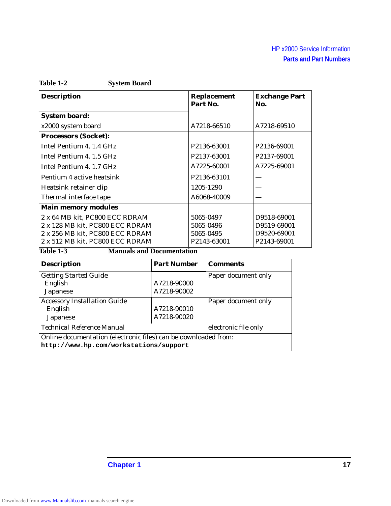| Table 1-2 | <b>System Board</b> |
|-----------|---------------------|
|-----------|---------------------|

| <b>Description</b>              | <b>Replacement</b><br>Part No. | <b>Exchange Part</b><br>No. |
|---------------------------------|--------------------------------|-----------------------------|
| <b>System board:</b>            |                                |                             |
| x2000 system board              | A7218-66510                    | A7218-69510                 |
| <b>Processors (Socket):</b>     |                                |                             |
| Intel Pentium 4, 1.4 GHz        | P2136-63001                    | P2136-69001                 |
| Intel Pentium 4, 1.5 GHz        | P2137-63001                    | P2137-69001                 |
| Intel Pentium 4, 1.7 GHz        | A7225-60001                    | A7225-69001                 |
| Pentium 4 active heatsink       | P2136-63101                    |                             |
| Heatsink retainer clip          | 1205-1290                      |                             |
| Thermal interface tape          | A6068-40009                    |                             |
| <b>Main memory modules</b>      |                                |                             |
| 2 x 64 MB kit, PC800 ECC RDRAM  | 5065-0497                      | D9518-69001                 |
| 2 x 128 MB kit, PC800 ECC RDRAM | 5065-0496                      | D9519-69001                 |
| 2 x 256 MB kit, PC800 ECC RDRAM | 5065-0495                      | D9520-69001                 |
| 2 x 512 MB kit, PC800 ECC RDRAM | P2143-63001                    | P2143-69001                 |

<u> 1990 - Johann Barbara, martin a</u>

**Table 1-3 Manuals and Documentation**

| <b>Description</b>                                              | <b>Part Number</b> | <b>Comments</b>      |  |  |
|-----------------------------------------------------------------|--------------------|----------------------|--|--|
| <b>Getting Started Guide</b>                                    |                    | Paper document only  |  |  |
| English                                                         | A7218-90000        |                      |  |  |
| Japanese                                                        | A7218-90002        |                      |  |  |
| <b>Accessory Installation Guide</b>                             |                    | Paper document only  |  |  |
| English                                                         | A7218-90010        |                      |  |  |
| Japanese                                                        | A7218-90020        |                      |  |  |
| <i>Technical Reference Manual</i>                               |                    | electronic file only |  |  |
| Online documentation (electronic files) can be downloaded from: |                    |                      |  |  |
| http://www.hp.com/workstations/support                          |                    |                      |  |  |